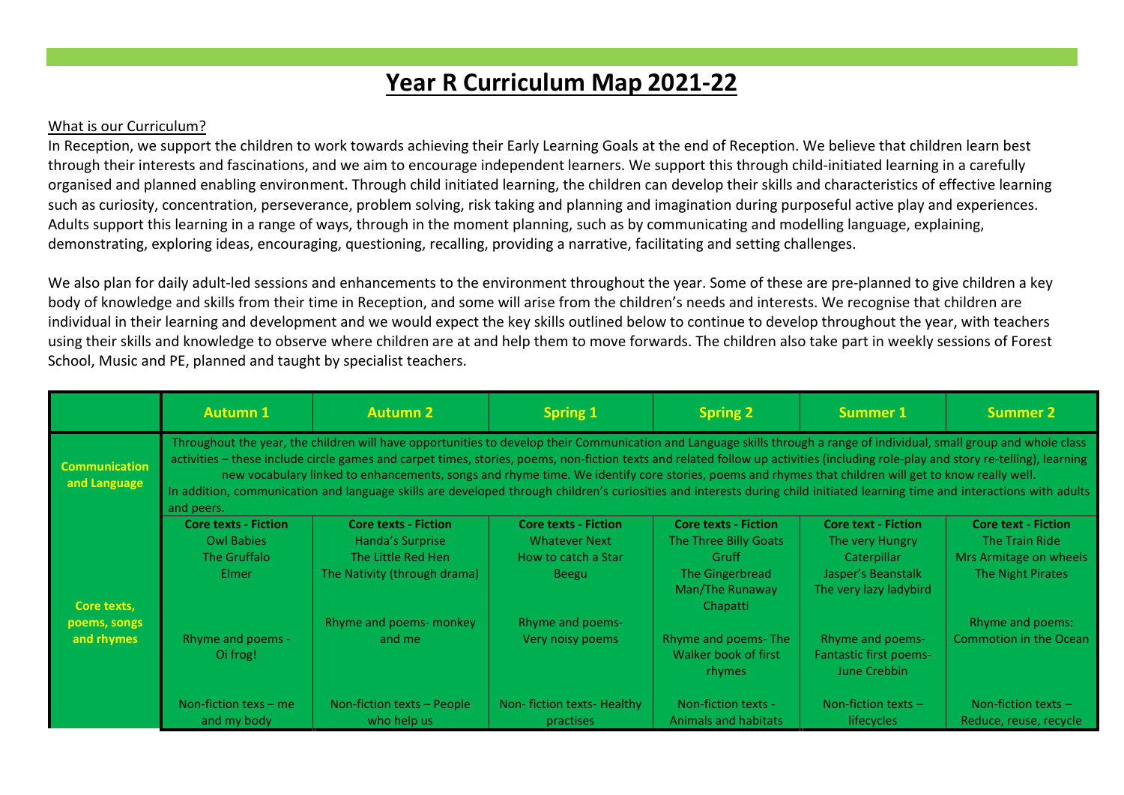## **Year R Curriculum Map 2021-22**

## What is our Curriculum?

In Reception, we support the children to work towards achieving their Early Learning Goals at the end of Reception. We believe that children learn best through their interests and fascinations, and we aim to encourage independent learners. We support this through child-initiated learning in a carefully organised and planned enabling environment. Through child initiated learning, the children can develop their skills and characteristics of effective learning such as curiosity, concentration, perseverance, problem solving, risk taking and planning and imagination during purposeful active play and experiences. Adults support this learning in a range of ways, through in the moment planning, such as by communicating and modelling language, explaining, demonstrating, exploring ideas, encouraging, questioning, recalling, providing a narrative, facilitating and setting challenges.

We also plan for daily adult-led sessions and enhancements to the environment throughout the year. Some of these are pre-planned to give children a key body of knowledge and skills from their time in Reception, and some will arise from the children's needs and interests. We recognise that children are individual in their learning and development and we would expect the key skills outlined below to continue to develop throughout the year, with teachers using their skills and knowledge to observe where children are at and help them to move forwards. The children also take part in weekly sessions of Forest School, Music and PE, planned and taught by specialist teachers.

|                                      | <b>Autumn 1</b>                                                                                                                                                                                                                                                                                                                                                                                                                                                                                                                                                                                                                                                                                                  | <b>Autumn 2</b>                                                                                       | <b>Spring 1</b>                                                                            | <b>Spring 2</b>                                                                                                 | <b>Summer 1</b>                                                                                              | <b>Summer 2</b>                                                                             |  |
|--------------------------------------|------------------------------------------------------------------------------------------------------------------------------------------------------------------------------------------------------------------------------------------------------------------------------------------------------------------------------------------------------------------------------------------------------------------------------------------------------------------------------------------------------------------------------------------------------------------------------------------------------------------------------------------------------------------------------------------------------------------|-------------------------------------------------------------------------------------------------------|--------------------------------------------------------------------------------------------|-----------------------------------------------------------------------------------------------------------------|--------------------------------------------------------------------------------------------------------------|---------------------------------------------------------------------------------------------|--|
| <b>Communication</b><br>and Language | Throughout the year, the children will have opportunities to develop their Communication and Language skills through a range of individual, small group and whole class<br>activities - these include circle games and carpet times, stories, poems, non-fiction texts and related follow up activities (including role-play and story re-telling), learning<br>new vocabulary linked to enhancements, songs and rhyme time. We identify core stories, poems and rhymes that children will get to know really well.<br>In addition, communication and language skills are developed through children's curiosities and interests during child initiated learning time and interactions with adults<br>and peers. |                                                                                                       |                                                                                            |                                                                                                                 |                                                                                                              |                                                                                             |  |
| Core texts,                          | <b>Core texts - Fiction</b><br><b>Owl Babies</b><br>The Gruffalo<br>Elmer                                                                                                                                                                                                                                                                                                                                                                                                                                                                                                                                                                                                                                        | <b>Core texts - Fiction</b><br>Handa's Surprise<br>The Little Red Hen<br>The Nativity (through drama) | <b>Core texts - Fiction</b><br><b>Whatever Next</b><br>How to catch a Star<br><b>Beegu</b> | <b>Core texts - Fiction</b><br>The Three Billy Goats<br>Gruff<br>The Gingerbread<br>Man/The Runaway<br>Chapatti | <b>Core text - Fiction</b><br>The very Hungry<br>Caterpillar<br>Jasper's Beanstalk<br>The very lazy ladybird | <b>Core text - Fiction</b><br>The Train Ride<br>Mrs Armitage on wheels<br>The Night Pirates |  |
| poems, songs<br>and rhymes           | <b>Rhyme and poems -</b><br>Oi frog!                                                                                                                                                                                                                                                                                                                                                                                                                                                                                                                                                                                                                                                                             | Rhyme and poems- monkey<br>and me                                                                     | <b>Rhyme and poems-</b><br>Very noisy poems                                                | Rhyme and poems-The<br>Walker book of first<br><b>rhymes</b>                                                    | Rhyme and poems-<br><b>Fantastic first poems-</b><br>June Crebbin                                            | Rhyme and poems:<br><b>Commotion in the Ocean</b>                                           |  |
|                                      | Non-fiction texs $-$ me<br>and my body                                                                                                                                                                                                                                                                                                                                                                                                                                                                                                                                                                                                                                                                           | Non-fiction texts - People<br>who help us                                                             | Non-fiction texts-Healthy<br><b>practises</b>                                              | Non-fiction texts -<br><b>Animals and habitats</b>                                                              | Non-fiction texts $-$<br><b>lifecycles</b>                                                                   | Non-fiction texts $-$<br>Reduce, reuse, recycle                                             |  |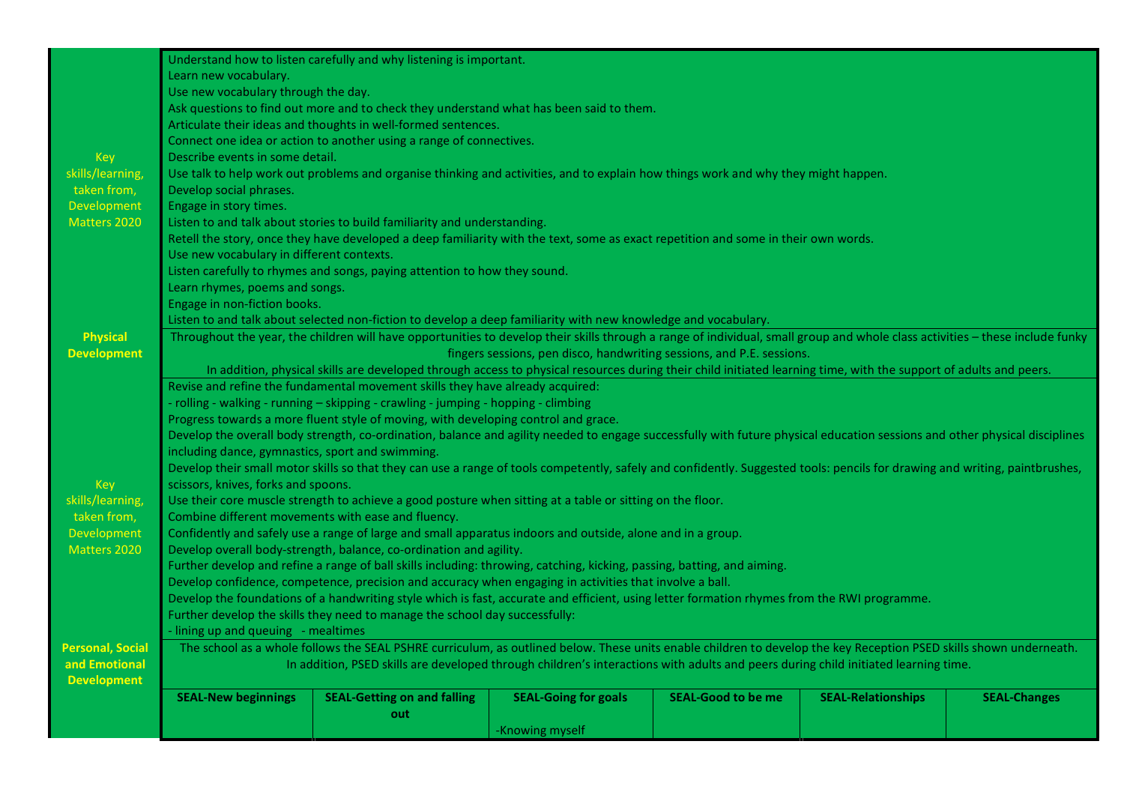|                         |                                                                                                                                                                    | Understand how to listen carefully and why listening is important.                                                                                                            |                                                                       |                           |                           |                     |
|-------------------------|--------------------------------------------------------------------------------------------------------------------------------------------------------------------|-------------------------------------------------------------------------------------------------------------------------------------------------------------------------------|-----------------------------------------------------------------------|---------------------------|---------------------------|---------------------|
|                         | Learn new vocabulary.                                                                                                                                              |                                                                                                                                                                               |                                                                       |                           |                           |                     |
|                         | Use new vocabulary through the day.                                                                                                                                |                                                                                                                                                                               |                                                                       |                           |                           |                     |
|                         |                                                                                                                                                                    | Ask questions to find out more and to check they understand what has been said to them.                                                                                       |                                                                       |                           |                           |                     |
|                         |                                                                                                                                                                    | Articulate their ideas and thoughts in well-formed sentences.                                                                                                                 |                                                                       |                           |                           |                     |
|                         |                                                                                                                                                                    | Connect one idea or action to another using a range of connectives.                                                                                                           |                                                                       |                           |                           |                     |
| Key                     | Describe events in some detail.                                                                                                                                    |                                                                                                                                                                               |                                                                       |                           |                           |                     |
| skills/learning,        |                                                                                                                                                                    | Use talk to help work out problems and organise thinking and activities, and to explain how things work and why they might happen.                                            |                                                                       |                           |                           |                     |
| taken from,             | Develop social phrases.                                                                                                                                            |                                                                                                                                                                               |                                                                       |                           |                           |                     |
| Development             | Engage in story times.                                                                                                                                             |                                                                                                                                                                               |                                                                       |                           |                           |                     |
| Matters 2020            |                                                                                                                                                                    | Listen to and talk about stories to build familiarity and understanding.                                                                                                      |                                                                       |                           |                           |                     |
|                         |                                                                                                                                                                    | Retell the story, once they have developed a deep familiarity with the text, some as exact repetition and some in their own words.                                            |                                                                       |                           |                           |                     |
|                         | Use new vocabulary in different contexts.                                                                                                                          |                                                                                                                                                                               |                                                                       |                           |                           |                     |
|                         |                                                                                                                                                                    | Listen carefully to rhymes and songs, paying attention to how they sound.                                                                                                     |                                                                       |                           |                           |                     |
|                         | Learn rhymes, poems and songs.                                                                                                                                     |                                                                                                                                                                               |                                                                       |                           |                           |                     |
|                         | Engage in non-fiction books.                                                                                                                                       |                                                                                                                                                                               |                                                                       |                           |                           |                     |
|                         |                                                                                                                                                                    | Listen to and talk about selected non-fiction to develop a deep familiarity with new knowledge and vocabulary.                                                                |                                                                       |                           |                           |                     |
| <b>Physical</b>         |                                                                                                                                                                    | Throughout the year, the children will have opportunities to develop their skills through a range of individual, small group and whole class activities - these include funky |                                                                       |                           |                           |                     |
| <b>Development</b>      |                                                                                                                                                                    |                                                                                                                                                                               | fingers sessions, pen disco, handwriting sessions, and P.E. sessions. |                           |                           |                     |
|                         | In addition, physical skills are developed through access to physical resources during their child initiated learning time, with the support of adults and peers.  |                                                                                                                                                                               |                                                                       |                           |                           |                     |
|                         |                                                                                                                                                                    | Revise and refine the fundamental movement skills they have already acquired:                                                                                                 |                                                                       |                           |                           |                     |
|                         |                                                                                                                                                                    | - rolling - walking - running - skipping - crawling - jumping - hopping - climbing                                                                                            |                                                                       |                           |                           |                     |
|                         |                                                                                                                                                                    | Progress towards a more fluent style of moving, with developing control and grace.                                                                                            |                                                                       |                           |                           |                     |
|                         |                                                                                                                                                                    | Develop the overall body strength, co-ordination, balance and agility needed to engage successfully with future physical education sessions and other physical disciplines    |                                                                       |                           |                           |                     |
|                         | including dance, gymnastics, sport and swimming.                                                                                                                   |                                                                                                                                                                               |                                                                       |                           |                           |                     |
|                         |                                                                                                                                                                    | Develop their small motor skills so that they can use a range of tools competently, safely and confidently. Suggested tools: pencils for drawing and writing, paintbrushes,   |                                                                       |                           |                           |                     |
| Key                     | scissors, knives, forks and spoons.                                                                                                                                |                                                                                                                                                                               |                                                                       |                           |                           |                     |
| skills/learning,        |                                                                                                                                                                    | Use their core muscle strength to achieve a good posture when sitting at a table or sitting on the floor.                                                                     |                                                                       |                           |                           |                     |
| taken from,             |                                                                                                                                                                    | Combine different movements with ease and fluency.                                                                                                                            |                                                                       |                           |                           |                     |
| Development             | Confidently and safely use a range of large and small apparatus indoors and outside, alone and in a group.                                                         |                                                                                                                                                                               |                                                                       |                           |                           |                     |
| Matters 2020            | Develop overall body-strength, balance, co-ordination and agility.                                                                                                 |                                                                                                                                                                               |                                                                       |                           |                           |                     |
|                         |                                                                                                                                                                    | Further develop and refine a range of ball skills including: throwing, catching, kicking, passing, batting, and aiming.                                                       |                                                                       |                           |                           |                     |
|                         |                                                                                                                                                                    | Develop confidence, competence, precision and accuracy when engaging in activities that involve a ball.                                                                       |                                                                       |                           |                           |                     |
|                         |                                                                                                                                                                    | Develop the foundations of a handwriting style which is fast, accurate and efficient, using letter formation rhymes from the RWI programme.                                   |                                                                       |                           |                           |                     |
|                         |                                                                                                                                                                    | Further develop the skills they need to manage the school day successfully:                                                                                                   |                                                                       |                           |                           |                     |
|                         | - lining up and queuing - mealtimes                                                                                                                                |                                                                                                                                                                               |                                                                       |                           |                           |                     |
| <b>Personal, Social</b> | The school as a whole follows the SEAL PSHRE curriculum, as outlined below. These units enable children to develop the key Reception PSED skills shown underneath. |                                                                                                                                                                               |                                                                       |                           |                           |                     |
| and Emotional           | In addition, PSED skills are developed through children's interactions with adults and peers during child initiated learning time.                                 |                                                                                                                                                                               |                                                                       |                           |                           |                     |
| <b>Development</b>      |                                                                                                                                                                    |                                                                                                                                                                               |                                                                       |                           |                           |                     |
|                         | <b>SEAL-New beginnings</b>                                                                                                                                         | <b>SEAL-Getting on and falling</b>                                                                                                                                            | <b>SEAL-Going for goals</b>                                           | <b>SEAL-Good to be me</b> | <b>SEAL-Relationships</b> | <b>SEAL-Changes</b> |
|                         |                                                                                                                                                                    | out                                                                                                                                                                           |                                                                       |                           |                           |                     |
|                         |                                                                                                                                                                    |                                                                                                                                                                               | -Knowing myself                                                       |                           |                           |                     |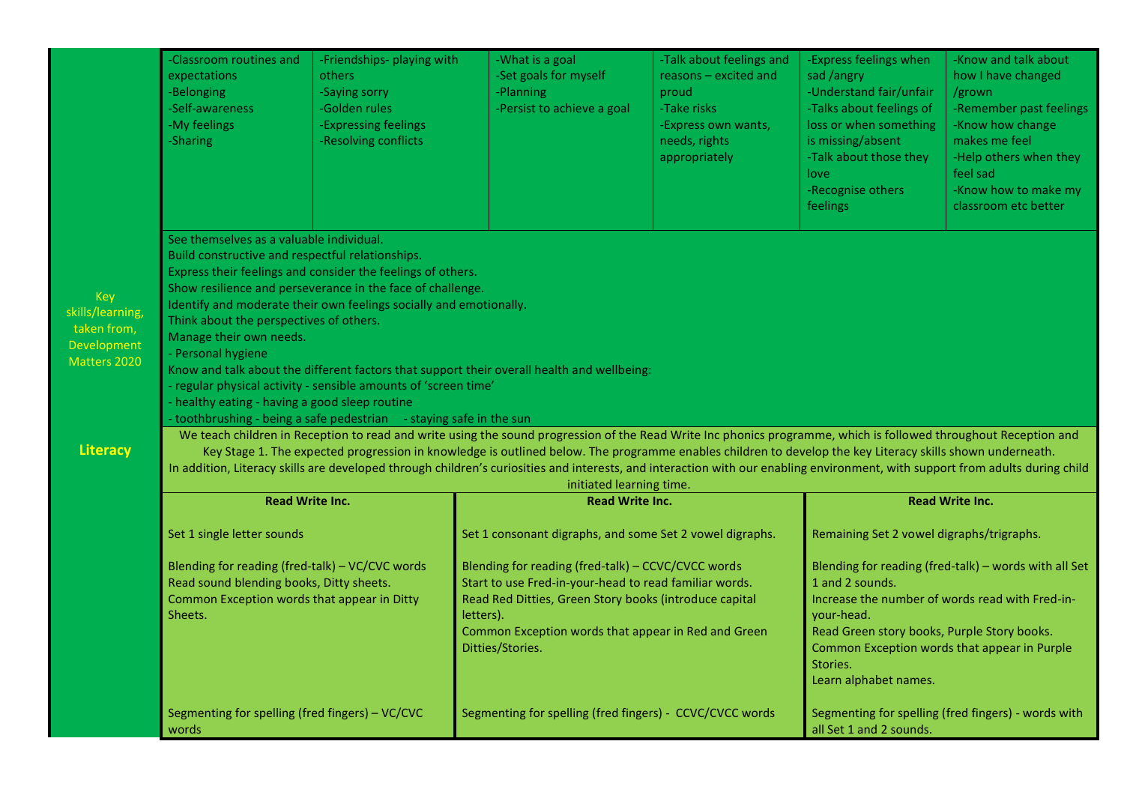|                                                                                                 | <b>Classroom routines and</b><br>expectations<br>-Belonging<br>-Self-awareness<br>-My feelings<br>-Sharing                                                                                                                                                                                                                                                                                                                                                                                                                                                                                                                                                                                                                                                                                                                                                                                                                                                                                                       | -Friendships- playing with<br>others<br>-Saying sorry<br>-Golden rules<br>-Expressing feelings<br>-Resolving conflicts                                                                                    | -What is a goal<br>-Set goals for myself<br>-Planning<br>-Persist to achieve a goal                                                                                                                                                                            | -Talk about feelings and<br>reasons - excited and<br>proud<br>-Take risks<br>-Express own wants,<br>needs, rights<br>appropriately | -Express feelings when<br>sad /angry<br>-Understand fair/unfair<br>-Talks about feelings of<br>loss or when something<br>is missing/absent<br>-Talk about those they<br>love<br>-Recognise others<br>feelings                                                                 | -Know and talk about<br>how I have changed<br>/grown<br>-Remember past feelings<br>-Know how change<br>makes me feel<br>-Help others when they<br>feel sad<br>-Know how to make my<br>classroom etc better |  |  |  |  |
|-------------------------------------------------------------------------------------------------|------------------------------------------------------------------------------------------------------------------------------------------------------------------------------------------------------------------------------------------------------------------------------------------------------------------------------------------------------------------------------------------------------------------------------------------------------------------------------------------------------------------------------------------------------------------------------------------------------------------------------------------------------------------------------------------------------------------------------------------------------------------------------------------------------------------------------------------------------------------------------------------------------------------------------------------------------------------------------------------------------------------|-----------------------------------------------------------------------------------------------------------------------------------------------------------------------------------------------------------|----------------------------------------------------------------------------------------------------------------------------------------------------------------------------------------------------------------------------------------------------------------|------------------------------------------------------------------------------------------------------------------------------------|-------------------------------------------------------------------------------------------------------------------------------------------------------------------------------------------------------------------------------------------------------------------------------|------------------------------------------------------------------------------------------------------------------------------------------------------------------------------------------------------------|--|--|--|--|
| <b>Key</b><br>skills/learning,<br>taken from,<br>Development<br>Matters 2020<br><b>Literacy</b> | See themselves as a valuable individual.<br>Build constructive and respectful relationships.<br>Express their feelings and consider the feelings of others.<br>Show resilience and perseverance in the face of challenge.<br>Identify and moderate their own feelings socially and emotionally.<br>Think about the perspectives of others.<br>Manage their own needs.<br>- Personal hygiene<br>Know and talk about the different factors that support their overall health and wellbeing:<br>regular physical activity - sensible amounts of 'screen time'<br>healthy eating - having a good sleep routine<br>toothbrushing - being a safe pedestrian - staying safe in the sun<br>We teach children in Reception to read and write using the sound progression of the Read Write Inc phonics programme, which is followed throughout Reception and<br>Key Stage 1. The expected progression in knowledge is outlined below. The programme enables children to develop the key Literacy skills shown underneath. |                                                                                                                                                                                                           |                                                                                                                                                                                                                                                                |                                                                                                                                    |                                                                                                                                                                                                                                                                               |                                                                                                                                                                                                            |  |  |  |  |
|                                                                                                 |                                                                                                                                                                                                                                                                                                                                                                                                                                                                                                                                                                                                                                                                                                                                                                                                                                                                                                                                                                                                                  | In addition, Literacy skills are developed through children's curiosities and interests, and interaction with our enabling environment, with support from adults during child<br>initiated learning time. |                                                                                                                                                                                                                                                                |                                                                                                                                    |                                                                                                                                                                                                                                                                               |                                                                                                                                                                                                            |  |  |  |  |
|                                                                                                 | <b>Read Write Inc.</b>                                                                                                                                                                                                                                                                                                                                                                                                                                                                                                                                                                                                                                                                                                                                                                                                                                                                                                                                                                                           |                                                                                                                                                                                                           | <b>Read Write Inc.</b>                                                                                                                                                                                                                                         |                                                                                                                                    | <b>Read Write Inc.</b>                                                                                                                                                                                                                                                        |                                                                                                                                                                                                            |  |  |  |  |
|                                                                                                 | Set 1 single letter sounds                                                                                                                                                                                                                                                                                                                                                                                                                                                                                                                                                                                                                                                                                                                                                                                                                                                                                                                                                                                       |                                                                                                                                                                                                           | Set 1 consonant digraphs, and some Set 2 vowel digraphs.                                                                                                                                                                                                       |                                                                                                                                    | Remaining Set 2 vowel digraphs/trigraphs.                                                                                                                                                                                                                                     |                                                                                                                                                                                                            |  |  |  |  |
|                                                                                                 | Blending for reading (fred-talk) - VC/CVC words<br>Read sound blending books, Ditty sheets.<br>Common Exception words that appear in Ditty<br>Sheets.                                                                                                                                                                                                                                                                                                                                                                                                                                                                                                                                                                                                                                                                                                                                                                                                                                                            |                                                                                                                                                                                                           | Blending for reading (fred-talk) - CCVC/CVCC words<br>Start to use Fred-in-your-head to read familiar words.<br>Read Red Ditties, Green Story books (introduce capital<br>letters).<br>Common Exception words that appear in Red and Green<br>Ditties/Stories. |                                                                                                                                    | Blending for reading (fred-talk) - words with all Set<br>1 and 2 sounds.<br>Increase the number of words read with Fred-in-<br>vour-head.<br>Read Green story books, Purple Story books.<br>Common Exception words that appear in Purple<br>Stories.<br>Learn alphabet names. |                                                                                                                                                                                                            |  |  |  |  |
|                                                                                                 | Segmenting for spelling (fred fingers) - VC/CVC<br>words                                                                                                                                                                                                                                                                                                                                                                                                                                                                                                                                                                                                                                                                                                                                                                                                                                                                                                                                                         |                                                                                                                                                                                                           | Segmenting for spelling (fred fingers) - CCVC/CVCC words                                                                                                                                                                                                       |                                                                                                                                    | all Set 1 and 2 sounds.                                                                                                                                                                                                                                                       | Segmenting for spelling (fred fingers) - words with                                                                                                                                                        |  |  |  |  |

skills

Mat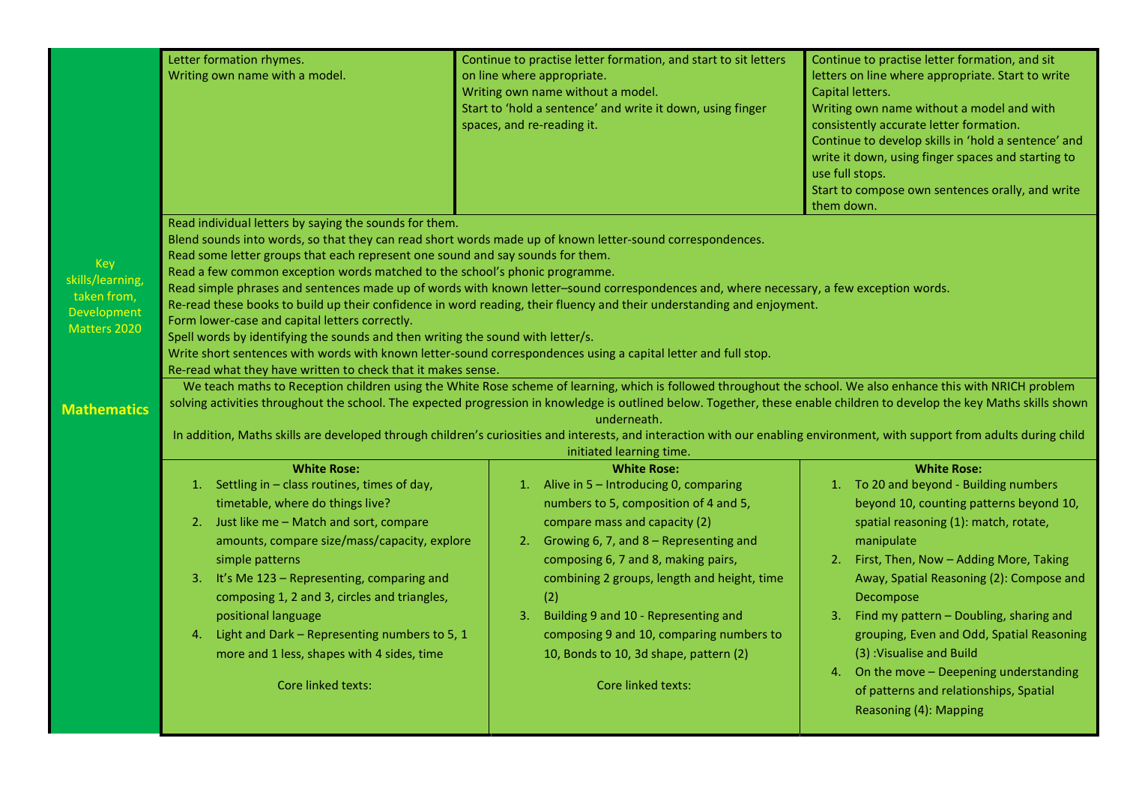|                                                                              | Letter formation rhymes.<br>Writing own name with a model.                                                                                                                                                                                                                                                                                                                                                                                                                                                                                                                                                                                                                                                                                                                                                                                                                                                                       | Continue to practise letter formation, and start to sit letters<br>on line where appropriate.<br>Writing own name without a model.<br>Start to 'hold a sentence' and write it down, using finger<br>spaces, and re-reading it.                                                                                                                                                                                                                                                  | Continue to practise letter formation, and sit<br>letters on line where appropriate. Start to write<br>Capital letters.<br>Writing own name without a model and with<br>consistently accurate letter formation.<br>Continue to develop skills in 'hold a sentence' and<br>write it down, using finger spaces and starting to<br>use full stops.<br>Start to compose own sentences orally, and write<br>them down.                                                                                            |  |  |  |
|------------------------------------------------------------------------------|----------------------------------------------------------------------------------------------------------------------------------------------------------------------------------------------------------------------------------------------------------------------------------------------------------------------------------------------------------------------------------------------------------------------------------------------------------------------------------------------------------------------------------------------------------------------------------------------------------------------------------------------------------------------------------------------------------------------------------------------------------------------------------------------------------------------------------------------------------------------------------------------------------------------------------|---------------------------------------------------------------------------------------------------------------------------------------------------------------------------------------------------------------------------------------------------------------------------------------------------------------------------------------------------------------------------------------------------------------------------------------------------------------------------------|--------------------------------------------------------------------------------------------------------------------------------------------------------------------------------------------------------------------------------------------------------------------------------------------------------------------------------------------------------------------------------------------------------------------------------------------------------------------------------------------------------------|--|--|--|
| <b>Key</b><br>skills/learning,<br>taken from,<br>Development<br>Matters 2020 | Read individual letters by saying the sounds for them.<br>Blend sounds into words, so that they can read short words made up of known letter-sound correspondences.<br>Read some letter groups that each represent one sound and say sounds for them.<br>Read a few common exception words matched to the school's phonic programme.<br>Read simple phrases and sentences made up of words with known letter-sound correspondences and, where necessary, a few exception words.<br>Re-read these books to build up their confidence in word reading, their fluency and their understanding and enjoyment.<br>Form lower-case and capital letters correctly.<br>Spell words by identifying the sounds and then writing the sound with letter/s.<br>Write short sentences with words with known letter-sound correspondences using a capital letter and full stop.<br>Re-read what they have written to check that it makes sense. |                                                                                                                                                                                                                                                                                                                                                                                                                                                                                 |                                                                                                                                                                                                                                                                                                                                                                                                                                                                                                              |  |  |  |
| <b>Mathematics</b>                                                           | We teach maths to Reception children using the White Rose scheme of learning, which is followed throughout the school. We also enhance this with NRICH problem<br>solving activities throughout the school. The expected progression in knowledge is outlined below. Together, these enable children to develop the key Maths skills shown<br>In addition, Maths skills are developed through children's curiosities and interests, and interaction with our enabling environment, with support from adults during child                                                                                                                                                                                                                                                                                                                                                                                                         |                                                                                                                                                                                                                                                                                                                                                                                                                                                                                 |                                                                                                                                                                                                                                                                                                                                                                                                                                                                                                              |  |  |  |
|                                                                              | <b>White Rose:</b><br>1. Settling in - class routines, times of day,<br>timetable, where do things live?<br>2. Just like me - Match and sort, compare<br>amounts, compare size/mass/capacity, explore<br>simple patterns<br>3. It's Me 123 - Representing, comparing and<br>composing 1, 2 and 3, circles and triangles,<br>positional language<br>4. Light and Dark - Representing numbers to 5, 1<br>more and 1 less, shapes with 4 sides, time<br>Core linked texts:                                                                                                                                                                                                                                                                                                                                                                                                                                                          | initiated learning time.<br><b>White Rose:</b><br>1. Alive in 5 - Introducing 0, comparing<br>numbers to 5, composition of 4 and 5,<br>compare mass and capacity (2)<br>2. Growing 6, 7, and 8 - Representing and<br>composing 6, 7 and 8, making pairs,<br>combining 2 groups, length and height, time<br>(2)<br>Building 9 and 10 - Representing and<br>3.<br>composing 9 and 10, comparing numbers to<br>10, Bonds to 10, 3d shape, pattern (2)<br><b>Core linked texts:</b> | <b>White Rose:</b><br>1. To 20 and beyond - Building numbers<br>beyond 10, counting patterns beyond 10,<br>spatial reasoning (1): match, rotate,<br>manipulate<br>2. First, Then, Now - Adding More, Taking<br>Away, Spatial Reasoning (2): Compose and<br>Decompose<br>3. Find my pattern - Doubling, sharing and<br>grouping, Even and Odd, Spatial Reasoning<br>(3) : Visualise and Build<br>4. On the move - Deepening understanding<br>of patterns and relationships, Spatial<br>Reasoning (4): Mapping |  |  |  |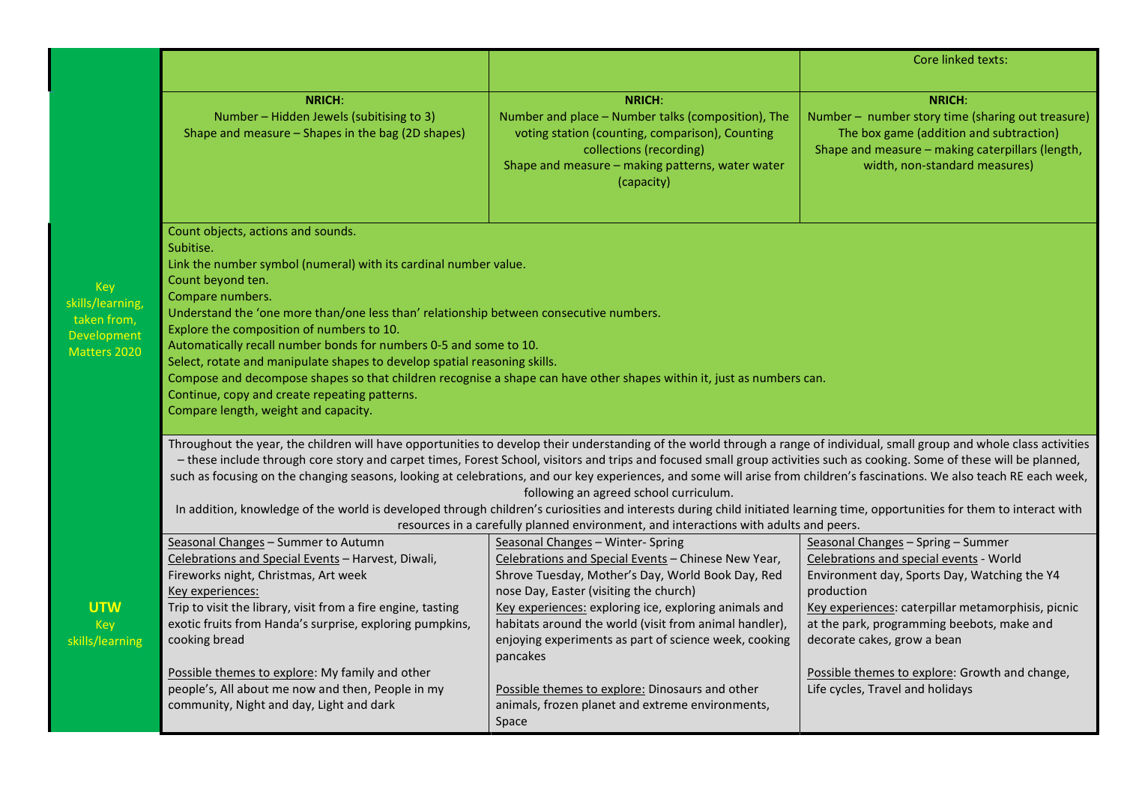|                                                                                     |                                                                                                                                                                                                                                                                                                                                                                                                                                                                                                                                                                                                                                                                                                                                                                                                                                                                                                                                                                                                                                     |                                                                                                                                                                                                                                                                                                                                                                                 | <b>Core linked texts:</b>                                                                                                                                                                                                                                                      |  |  |  |
|-------------------------------------------------------------------------------------|-------------------------------------------------------------------------------------------------------------------------------------------------------------------------------------------------------------------------------------------------------------------------------------------------------------------------------------------------------------------------------------------------------------------------------------------------------------------------------------------------------------------------------------------------------------------------------------------------------------------------------------------------------------------------------------------------------------------------------------------------------------------------------------------------------------------------------------------------------------------------------------------------------------------------------------------------------------------------------------------------------------------------------------|---------------------------------------------------------------------------------------------------------------------------------------------------------------------------------------------------------------------------------------------------------------------------------------------------------------------------------------------------------------------------------|--------------------------------------------------------------------------------------------------------------------------------------------------------------------------------------------------------------------------------------------------------------------------------|--|--|--|
|                                                                                     | <b>NRICH:</b><br>Number - Hidden Jewels (subitising to 3)<br>Shape and measure - Shapes in the bag (2D shapes)                                                                                                                                                                                                                                                                                                                                                                                                                                                                                                                                                                                                                                                                                                                                                                                                                                                                                                                      | <b>NRICH:</b><br>Number and place - Number talks (composition), The<br>voting station (counting, comparison), Counting<br>collections (recording)<br>Shape and measure - making patterns, water water<br>(capacity)                                                                                                                                                             | <b>NRICH:</b><br>Number - number story time (sharing out treasure)<br>The box game (addition and subtraction)<br>Shape and measure - making caterpillars (length,<br>width, non-standard measures)                                                                             |  |  |  |
| <b>Key</b><br>skills/learning,<br>taken from,<br><b>Development</b><br>Matters 2020 | Count objects, actions and sounds.<br>Subitise.<br>Link the number symbol (numeral) with its cardinal number value.<br>Count beyond ten.<br>Compare numbers.<br>Understand the 'one more than/one less than' relationship between consecutive numbers.<br>Explore the composition of numbers to 10.<br>Automatically recall number bonds for numbers 0-5 and some to 10.<br>Select, rotate and manipulate shapes to develop spatial reasoning skills.<br>Compose and decompose shapes so that children recognise a shape can have other shapes within it, just as numbers can.<br>Continue, copy and create repeating patterns.<br>Compare length, weight and capacity.<br>Throughout the year, the children will have opportunities to develop their understanding of the world through a range of individual, small group and whole class activities<br>- these include through core story and carpet times, Forest School, visitors and trips and focused small group activities such as cooking. Some of these will be planned, |                                                                                                                                                                                                                                                                                                                                                                                 |                                                                                                                                                                                                                                                                                |  |  |  |
|                                                                                     | such as focusing on the changing seasons, looking at celebrations, and our key experiences, and some will arise from children's fascinations. We also teach RE each week,<br>following an agreed school curriculum.<br>In addition, knowledge of the world is developed through children's curiosities and interests during child initiated learning time, opportunities for them to interact with<br>resources in a carefully planned environment, and interactions with adults and peers.                                                                                                                                                                                                                                                                                                                                                                                                                                                                                                                                         |                                                                                                                                                                                                                                                                                                                                                                                 |                                                                                                                                                                                                                                                                                |  |  |  |
| <b>UTW</b><br>Key<br>skills/learning                                                | Seasonal Changes - Summer to Autumn<br>Celebrations and Special Events - Harvest, Diwali,<br>Fireworks night, Christmas, Art week<br>Key experiences:<br>Trip to visit the library, visit from a fire engine, tasting<br>exotic fruits from Handa's surprise, exploring pumpkins,<br>cooking bread                                                                                                                                                                                                                                                                                                                                                                                                                                                                                                                                                                                                                                                                                                                                  | Seasonal Changes - Winter- Spring<br>Celebrations and Special Events - Chinese New Year,<br>Shrove Tuesday, Mother's Day, World Book Day, Red<br>nose Day, Easter (visiting the church)<br>Key experiences: exploring ice, exploring animals and<br>habitats around the world (visit from animal handler),<br>enjoying experiments as part of science week, cooking<br>pancakes | Seasonal Changes - Spring - Summer<br>Celebrations and special events - World<br>Environment day, Sports Day, Watching the Y4<br>production<br>Key experiences: caterpillar metamorphisis, picnic<br>at the park, programming beebots, make and<br>decorate cakes, grow a bean |  |  |  |
|                                                                                     | Possible themes to explore: My family and other<br>people's, All about me now and then, People in my<br>community, Night and day, Light and dark                                                                                                                                                                                                                                                                                                                                                                                                                                                                                                                                                                                                                                                                                                                                                                                                                                                                                    | Possible themes to explore: Dinosaurs and other<br>animals, frozen planet and extreme environments,<br>Space                                                                                                                                                                                                                                                                    | Possible themes to explore: Growth and change,<br>Life cycles, Travel and holidays                                                                                                                                                                                             |  |  |  |

 $skil$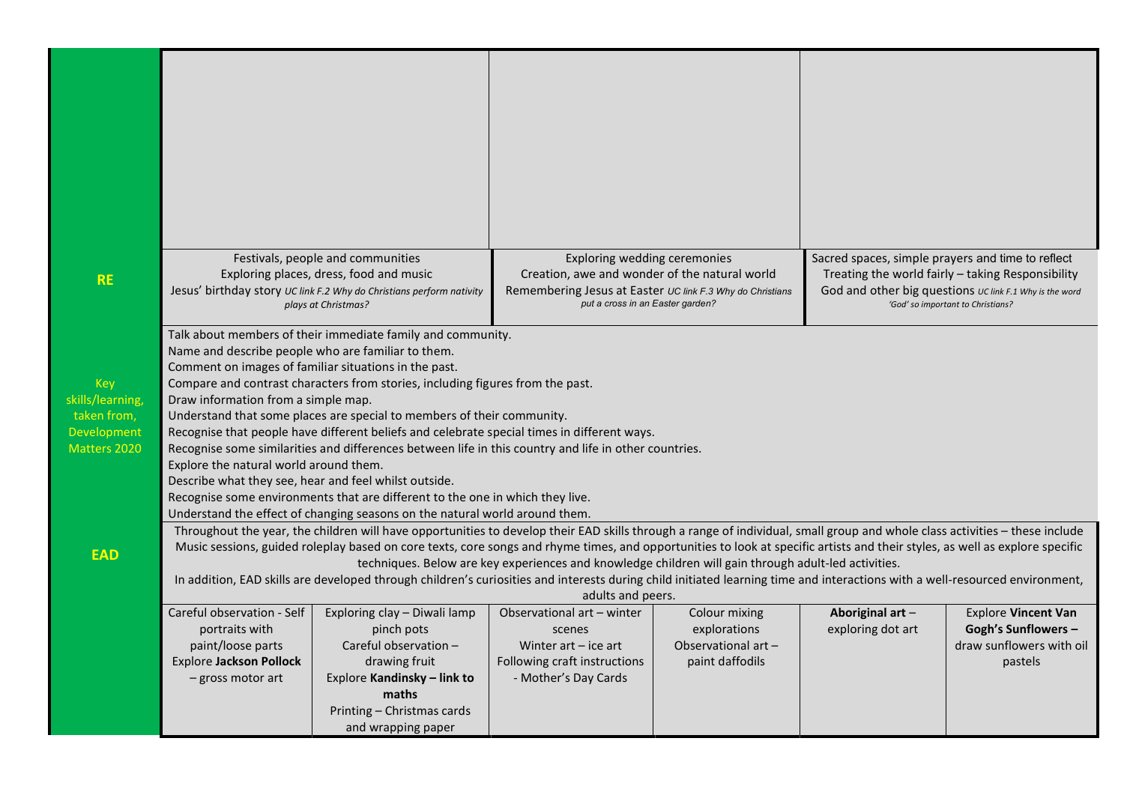|                                 |                                                                                                                                                                                                  | Festivals, people and communities                                                                     | Exploring wedding ceremonies                                                                  |                     | Sacred spaces, simple prayers and time to reflect |                                                                                              |  |
|---------------------------------|--------------------------------------------------------------------------------------------------------------------------------------------------------------------------------------------------|-------------------------------------------------------------------------------------------------------|-----------------------------------------------------------------------------------------------|---------------------|---------------------------------------------------|----------------------------------------------------------------------------------------------|--|
| <b>RE</b>                       |                                                                                                                                                                                                  | Exploring places, dress, food and music                                                               | Creation, awe and wonder of the natural world                                                 |                     |                                                   | Treating the world fairly - taking Responsibility                                            |  |
|                                 |                                                                                                                                                                                                  | Jesus' birthday story UC link F.2 Why do Christians perform nativity<br>plays at Christmas?           | Remembering Jesus at Easter UC link F.3 Why do Christians<br>put a cross in an Easter garden? |                     |                                                   | God and other big questions UC link F.1 Why is the word<br>'God' so important to Christians? |  |
|                                 |                                                                                                                                                                                                  | Talk about members of their immediate family and community.                                           |                                                                                               |                     |                                                   |                                                                                              |  |
|                                 | Name and describe people who are familiar to them.                                                                                                                                               |                                                                                                       |                                                                                               |                     |                                                   |                                                                                              |  |
|                                 | Comment on images of familiar situations in the past.                                                                                                                                            |                                                                                                       |                                                                                               |                     |                                                   |                                                                                              |  |
| Key                             |                                                                                                                                                                                                  | Compare and contrast characters from stories, including figures from the past.                        |                                                                                               |                     |                                                   |                                                                                              |  |
| skills/learning,<br>taken from, | Draw information from a simple map.<br>Understand that some places are special to members of their community.                                                                                    |                                                                                                       |                                                                                               |                     |                                                   |                                                                                              |  |
| Development                     | Recognise that people have different beliefs and celebrate special times in different ways.                                                                                                      |                                                                                                       |                                                                                               |                     |                                                   |                                                                                              |  |
| Matters 2020                    |                                                                                                                                                                                                  | Recognise some similarities and differences between life in this country and life in other countries. |                                                                                               |                     |                                                   |                                                                                              |  |
|                                 | Explore the natural world around them.                                                                                                                                                           |                                                                                                       |                                                                                               |                     |                                                   |                                                                                              |  |
|                                 | Describe what they see, hear and feel whilst outside.                                                                                                                                            |                                                                                                       |                                                                                               |                     |                                                   |                                                                                              |  |
|                                 | Recognise some environments that are different to the one in which they live.                                                                                                                    |                                                                                                       |                                                                                               |                     |                                                   |                                                                                              |  |
|                                 | Understand the effect of changing seasons on the natural world around them.                                                                                                                      |                                                                                                       |                                                                                               |                     |                                                   |                                                                                              |  |
|                                 | Throughout the year, the children will have opportunities to develop their EAD skills through a range of individual, small group and whole class activities - these include                      |                                                                                                       |                                                                                               |                     |                                                   |                                                                                              |  |
| <b>EAD</b>                      | Music sessions, guided roleplay based on core texts, core songs and rhyme times, and opportunities to look at specific artists and their styles, as well as explore specific                     |                                                                                                       |                                                                                               |                     |                                                   |                                                                                              |  |
|                                 | techniques. Below are key experiences and knowledge children will gain through adult-led activities.                                                                                             |                                                                                                       |                                                                                               |                     |                                                   |                                                                                              |  |
|                                 | In addition, EAD skills are developed through children's curiosities and interests during child initiated learning time and interactions with a well-resourced environment,<br>adults and peers. |                                                                                                       |                                                                                               |                     |                                                   |                                                                                              |  |
|                                 | Careful observation - Self                                                                                                                                                                       | Exploring clay - Diwali lamp                                                                          | Observational art - winter                                                                    | Colour mixing       | Aboriginal art-                                   | <b>Explore Vincent Van</b>                                                                   |  |
|                                 | portraits with                                                                                                                                                                                   | pinch pots                                                                                            | scenes                                                                                        | explorations        | exploring dot art                                 | <b>Gogh's Sunflowers -</b>                                                                   |  |
|                                 | paint/loose parts                                                                                                                                                                                | Careful observation -                                                                                 | Winter $art - ice$ art                                                                        | Observational art - |                                                   | draw sunflowers with oil                                                                     |  |
|                                 | <b>Explore Jackson Pollock</b>                                                                                                                                                                   | drawing fruit                                                                                         | Following craft instructions                                                                  | paint daffodils     |                                                   | pastels                                                                                      |  |
|                                 | - gross motor art                                                                                                                                                                                | Explore Kandinsky - link to                                                                           | - Mother's Day Cards                                                                          |                     |                                                   |                                                                                              |  |
|                                 |                                                                                                                                                                                                  | maths<br>Printing - Christmas cards                                                                   |                                                                                               |                     |                                                   |                                                                                              |  |
|                                 |                                                                                                                                                                                                  | and wrapping paper                                                                                    |                                                                                               |                     |                                                   |                                                                                              |  |
|                                 |                                                                                                                                                                                                  |                                                                                                       |                                                                                               |                     |                                                   |                                                                                              |  |